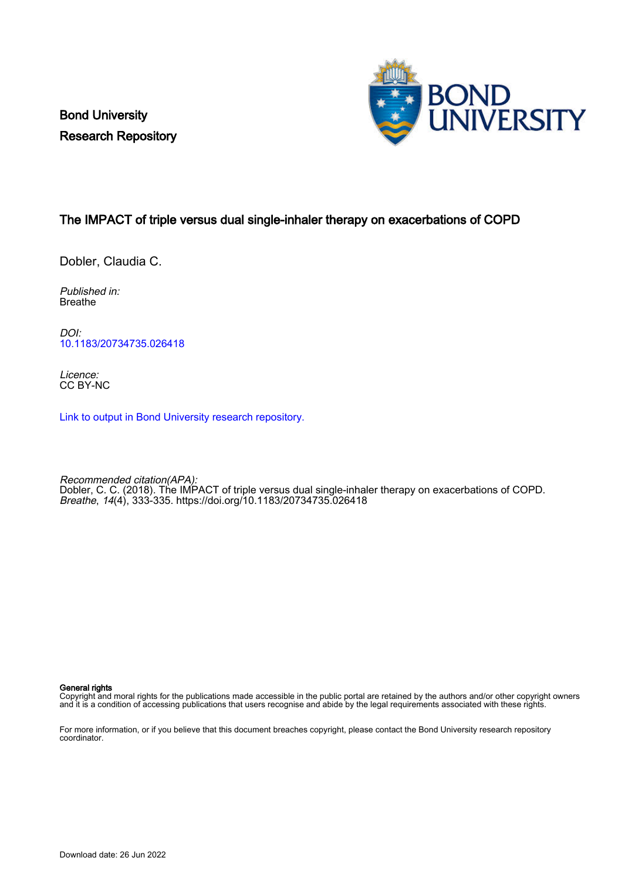Bond University Research Repository



## The IMPACT of triple versus dual single-inhaler therapy on exacerbations of COPD

Dobler, Claudia C.

Published in: Breathe

DOI: [10.1183/20734735.026418](https://doi.org/10.1183/20734735.026418)

Licence: CC BY-NC

[Link to output in Bond University research repository.](https://research.bond.edu.au/en/publications/1a5911db-fe0e-4cb1-bdfd-5a21249763f8)

Recommended citation(APA): Dobler, C. C. (2018). The IMPACT of triple versus dual single-inhaler therapy on exacerbations of COPD. Breathe, 14(4), 333-335. <https://doi.org/10.1183/20734735.026418>

General rights

Copyright and moral rights for the publications made accessible in the public portal are retained by the authors and/or other copyright owners and it is a condition of accessing publications that users recognise and abide by the legal requirements associated with these rights.

For more information, or if you believe that this document breaches copyright, please contact the Bond University research repository coordinator.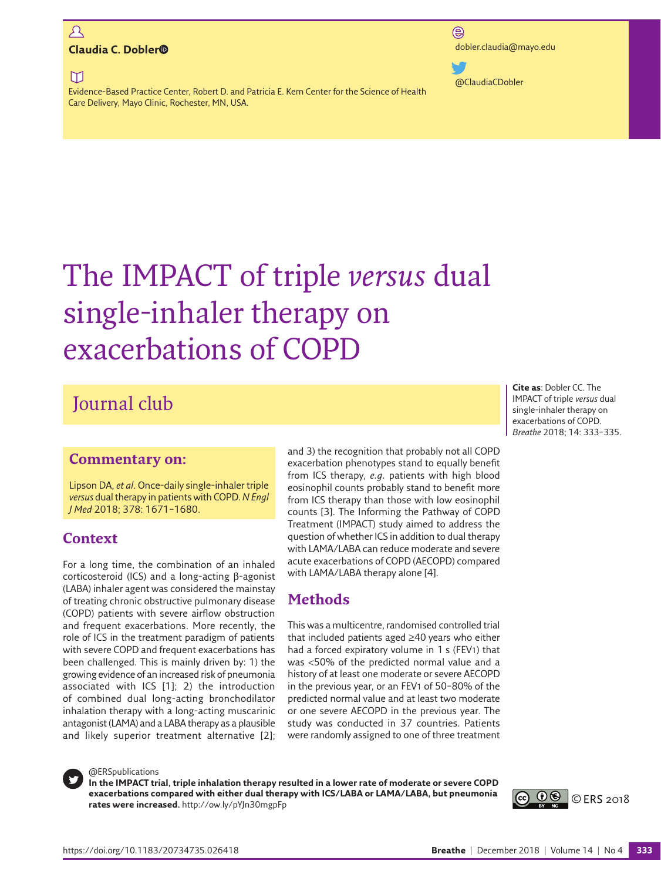## $\mathcal{L}$ [dobler.claudia@mayo.edu](mailto: dobler.claudia@mayo.edu) **Claudia C. Doble[r](https://orcid.org/0000-0002-5460-0189)**

 $\Box$ 

Evidence-Based Practice Center, Robert D. and Patricia E. Kern Center for the Science of Health Care Delivery, Mayo Clinic, Rochester, MN, USA.

 $\circledR$ 

[@ClaudiaCDobler](https://www.twitter.com/ClaudiaCDobler)

# The IMPACT of triple *versus* dual single-inhaler therapy on exacerbations of COPD

## Journal club

## **Commentary on:**

Lipson DA, *et al*. Once-daily single-inhaler triple *versus* dual therapy in patients with COPD. *N Engl J Med* 2018; 378: 1671–1680.

## **Context**

For a long time, the combination of an inhaled corticosteroid (ICS) and a long-acting β-agonist (LABA) inhaler agent was considered the mainstay of treating chronic obstructive pulmonary disease (COPD) patients with severe airflow obstruction and frequent exacerbations. More recently, the role of ICS in the treatment paradigm of patients with severe COPD and frequent exacerbations has been challenged. This is mainly driven by: 1) the growing evidence of an increased risk of pneumonia associated with ICS [1]; 2) the introduction of combined dual long-acting bronchodilator inhalation therapy with a long-acting muscarinic antagonist (LAMA) and a LABA therapy as a plausible and likely superior treatment alternative [2]; and 3) the recognition that probably not all COPD exacerbation phenotypes stand to equally benefit from ICS therapy, *e.g.* patients with high blood eosinophil counts probably stand to benefit more from ICS therapy than those with low eosinophil counts [3]. The Informing the Pathway of COPD Treatment (IMPACT) study aimed to address the question of whether ICS in addition to dual therapy with LAMA/LABA can reduce moderate and severe acute exacerbations of COPD (AECOPD) compared with LAMA/LABA therapy alone [4].

## **Methods**

This was a multicentre, randomised controlled trial that included patients aged ≥40 years who either had a forced expiratory volume in 1 s (FEV1) that was <50% of the predicted normal value and a history of at least one moderate or severe AECOPD in the previous year, or an FEV1 of 50–80% of the predicted normal value and at least two moderate or one severe AECOPD in the previous year. The study was conducted in 37 countries. Patients were randomly assigned to one of three treatment



#### @ERSpublications

**In the IMPACT trial, triple inhalation therapy resulted in a lower rate of moderate or severe COPD exacerbations compared with either dual therapy with ICS/LABA or LAMA/LABA, but pneumonia rates were increased.**<http://ow.ly/pYJn30mgpFp>



**Cite as**: Dobler CC. The IMPACT of triple *versus* dual single-inhaler therapy on exacerbations of COPD. *Breathe* 2018; 14: 333–335.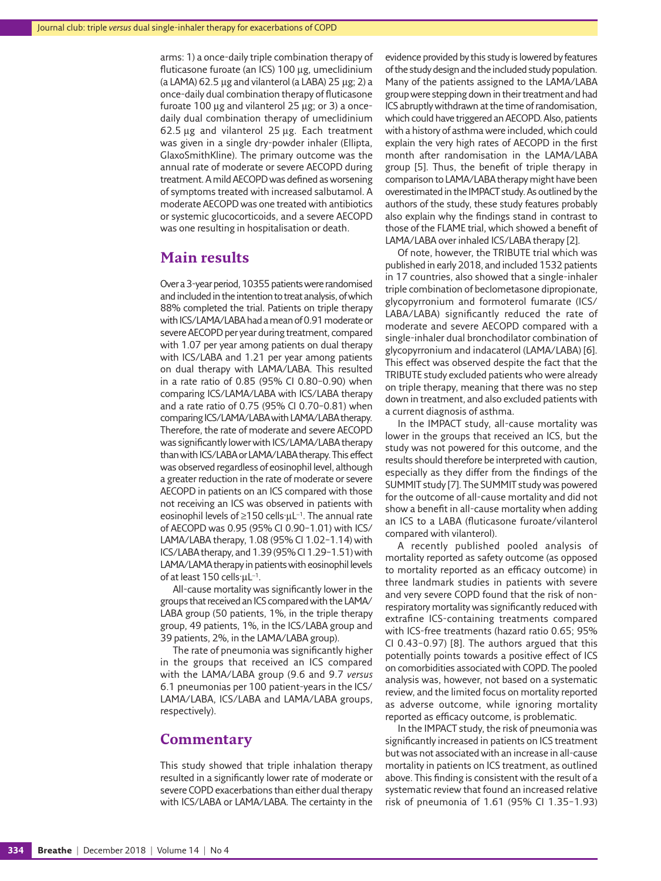arms: 1) a once-daily triple combination therapy of fluticasone furoate (an ICS) 100 µg, umeclidinium (a LAMA) 62.5 µg and vilanterol (a LABA) 25 µg; 2) a once-daily dual combination therapy of fluticasone furoate 100 µg and vilanterol 25 µg; or 3) a oncedaily dual combination therapy of umeclidinium 62.5 µg and vilanterol 25 µg. Each treatment was given in a single dry-powder inhaler (Ellipta, GlaxoSmithKline). The primary outcome was the annual rate of moderate or severe AECOPD during treatment. A mild AECOPD was defined as worsening of symptoms treated with increased salbutamol. A moderate AECOPD was one treated with antibiotics or systemic glucocorticoids, and a severe AECOPD was one resulting in hospitalisation or death.

## **Main results**

Over a 3-year period, 10355 patients were randomised and included in the intention to treat analysis, of which 88% completed the trial. Patients on triple therapy with ICS/LAMA/LABA had a mean of 0.91 moderate or severe AECOPD per year during treatment, compared with 1.07 per year among patients on dual therapy with ICS/LABA and 1.21 per year among patients on dual therapy with LAMA/LABA. This resulted in a rate ratio of 0.85 (95% CI 0.80–0.90) when comparing ICS/LAMA/LABA with ICS/LABA therapy and a rate ratio of 0.75 (95% CI 0.70–0.81) when comparing ICS/LAMA/LABA with LAMA/LABA therapy. Therefore, the rate of moderate and severe AECOPD was significantly lower with ICS/LAMA/LABA therapy than with ICS/LABA or LAMA/LABA therapy. This effect was observed regardless of eosinophil level, although a greater reduction in the rate of moderate or severe AECOPD in patients on an ICS compared with those not receiving an ICS was observed in patients with eosinophil levels of ≥150 cells·μL−1. The annual rate of AECOPD was 0.95 (95% CI 0.90–1.01) with ICS/ LAMA/LABA therapy, 1.08 (95% CI 1.02–1.14) with ICS/LABA therapy, and 1.39 (95% CI 1.29–1.51) with LAMA/LAMA therapy in patients with eosinophil levels of at least 150 cells·μL−1.

All-cause mortality was significantly lower in the groups that received an ICS compared with the LAMA/ LABA group (50 patients, 1%, in the triple therapy group, 49 patients, 1%, in the ICS/LABA group and 39 patients, 2%, in the LAMA/LABA group).

The rate of pneumonia was significantly higher in the groups that received an ICS compared with the LAMA/LABA group (9.6 and 9.7 *versus* 6.1 pneumonias per 100 patient-years in the ICS/ LAMA/LABA, ICS/LABA and LAMA/LABA groups, respectively).

## **Commentary**

This study showed that triple inhalation therapy resulted in a significantly lower rate of moderate or severe COPD exacerbations than either dual therapy with ICS/LABA or LAMA/LABA. The certainty in the evidence provided by this study is lowered by features of the study design and the included study population. Many of the patients assigned to the LAMA/LABA group were stepping down in their treatment and had ICS abruptly withdrawn at the time of randomisation, which could have triggered an AECOPD. Also, patients with a history of asthma were included, which could explain the very high rates of AECOPD in the first month after randomisation in the LAMA/LABA group [5]. Thus, the benefit of triple therapy in comparison to LAMA/LABA therapy might have been overestimated in the IMPACT study. As outlined by the authors of the study, these study features probably also explain why the findings stand in contrast to those of the FLAME trial, which showed a benefit of LAMA/LABA over inhaled ICS/LABA therapy [2].

Of note, however, the TRIBUTE trial which was published in early 2018, and included 1532 patients in 17 countries, also showed that a single-inhaler triple combination of beclometasone dipropionate, glycopyrronium and formoterol fumarate (ICS/ LABA/LABA) significantly reduced the rate of moderate and severe AECOPD compared with a single-inhaler dual bronchodilator combination of glycopyrronium and indacaterol (LAMA/LABA) [6]. This effect was observed despite the fact that the TRIBUTE study excluded patients who were already on triple therapy, meaning that there was no step down in treatment, and also excluded patients with a current diagnosis of asthma.

In the IMPACT study, all-cause mortality was lower in the groups that received an ICS, but the study was not powered for this outcome, and the results should therefore be interpreted with caution, especially as they differ from the findings of the SUMMIT study [7]. The SUMMIT study was powered for the outcome of all-cause mortality and did not show a benefit in all-cause mortality when adding an ICS to a LABA (fluticasone furoate/vilanterol compared with vilanterol).

A recently published pooled analysis of mortality reported as safety outcome (as opposed to mortality reported as an efficacy outcome) in three landmark studies in patients with severe and very severe COPD found that the risk of nonrespiratory mortality was significantly reduced with extrafine ICS-containing treatments compared with ICS-free treatments (hazard ratio 0.65; 95% CI 0.43–0.97) [8]. The authors argued that this potentially points towards a positive effect of ICS on comorbidities associated with COPD. The pooled analysis was, however, not based on a systematic review, and the limited focus on mortality reported as adverse outcome, while ignoring mortality reported as efficacy outcome, is problematic.

In the IMPACT study, the risk of pneumonia was significantly increased in patients on ICS treatment but was not associated with an increase in all-cause mortality in patients on ICS treatment, as outlined above. This finding is consistent with the result of a systematic review that found an increased relative risk of pneumonia of 1.61 (95% CI 1.35–1.93)